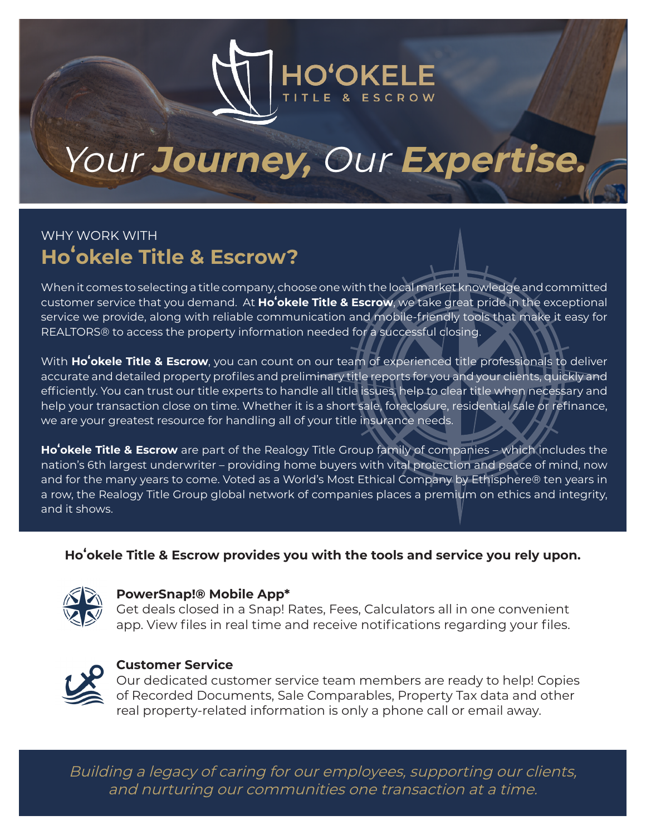

# Your **Journey,** Our **Expertise.**

## WHY WORK WITH **Hoʻokele Title & Escrow?**

When it comes to selecting a title company, choose one with the local market knowledge and committed customer service that you demand. At **Hoʻokele Title & Escrow**, we take great pride in the exceptional service we provide, along with reliable communication and mobile-friendly tools that make it easy for REALTORS® to access the property information needed for a successful closing.

With **Hoʻokele Title & Escrow**, you can count on our team of experienced title professionals to deliver accurate and detailed property profiles and preliminary title reports for you and your clients, quickly and efficiently. You can trust our title experts to handle all title issues, help to clear title when necessary and help your transaction close on time. Whether it is a short sale, foreclosure, residential sale or refinance, we are your greatest resource for handling all of your title insurance needs.

**Hoʻokele Title & Escrow** are part of the Realogy Title Group family of companies – which includes the nation's 6th largest underwriter – providing home buyers with vital protection and peace of mind, now and for the many years to come. Voted as a World's Most Ethical Company by Ethisphere® ten years in a row, the Realogy Title Group global network of companies places a premium on ethics and integrity, and it shows.

#### **Hoʻokele Title & Escrow provides you with the tools and service you rely upon.**



#### **PowerSnap!® Mobile App\***

Get deals closed in a Snap! Rates, Fees, Calculators all in one convenient app. View files in real time and receive notifications regarding your files.



#### **Customer Service**

Our dedicated customer service team members are ready to help! Copies of Recorded Documents, Sale Comparables, Property Tax data and other real property-related information is only a phone call or email away.

Building a legacy of caring for our employees, supporting our clients, and nurturing our communities one transaction at a time.